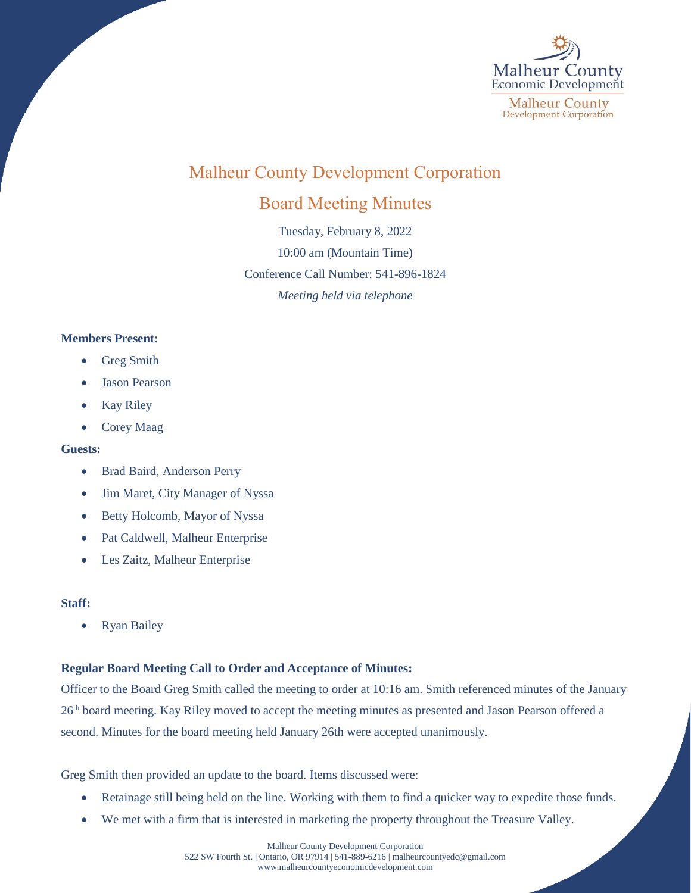

# Malheur County Development Corporation

## Board Meeting Minutes

Tuesday, February 8, 2022 10:00 am (Mountain Time) Conference Call Number: 541-896-1824 *Meeting held via telephone*

### **Members Present:**

- Greg Smith
- Jason Pearson
- Kay Riley
- Corey Maag

#### **Guests:**

- Brad Baird, Anderson Perry
- Jim Maret, City Manager of Nyssa
- Betty Holcomb, Mayor of Nyssa
- Pat Caldwell, Malheur Enterprise
- Les Zaitz, Malheur Enterprise

#### **Staff:**

• Ryan Bailey

#### **Regular Board Meeting Call to Order and Acceptance of Minutes:**

Officer to the Board Greg Smith called the meeting to order at 10:16 am. Smith referenced minutes of the January 26<sup>th</sup> board meeting. Kay Riley moved to accept the meeting minutes as presented and Jason Pearson offered a second. Minutes for the board meeting held January 26th were accepted unanimously.

Greg Smith then provided an update to the board. Items discussed were:

- Retainage still being held on the line. Working with them to find a quicker way to expedite those funds.
- We met with a firm that is interested in marketing the property throughout the Treasure Valley.